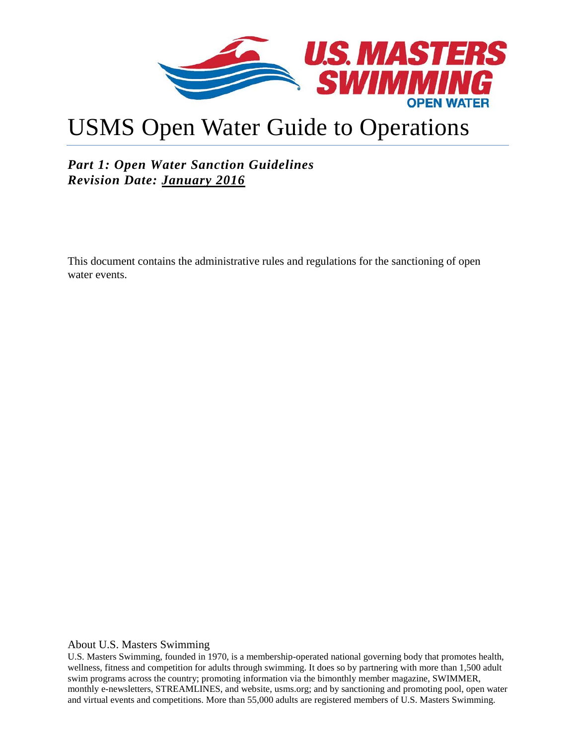

# USMS Open Water Guide to Operations

## *Part 1: Open Water Sanction Guidelines Revision Date: January 2016*

This document contains the administrative rules and regulations for the sanctioning of open water events.

About U.S. Masters Swimming

U.S. Masters Swimming, founded in 1970, is a membership-operated national governing body that promotes health, wellness, fitness and competition for adults through swimming. It does so by partnering with more than 1,500 adult swim programs across the country; promoting information via the bimonthly member magazine, SWIMMER, monthly e-newsletters, STREAMLINES, and website, usms.org; and by sanctioning and promoting pool, open water and virtual events and competitions. More than 55,000 adults are registered members of U.S. Masters Swimming.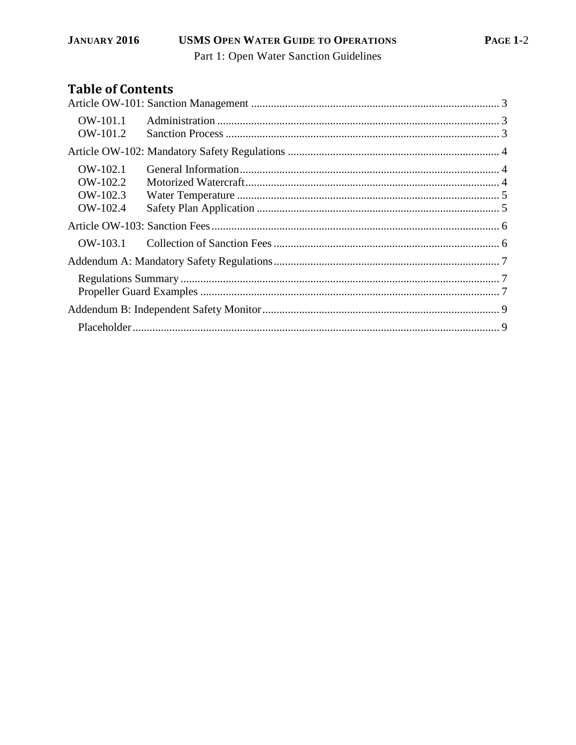# **Table of Contents**

| OW-101.1<br>OW-101.2 |  |  |  |  |
|----------------------|--|--|--|--|
|                      |  |  |  |  |
| OW-102.1<br>OW-102.2 |  |  |  |  |
| OW-102.3<br>OW-102.4 |  |  |  |  |
|                      |  |  |  |  |
| $OW-103.1$           |  |  |  |  |
|                      |  |  |  |  |
|                      |  |  |  |  |
|                      |  |  |  |  |
|                      |  |  |  |  |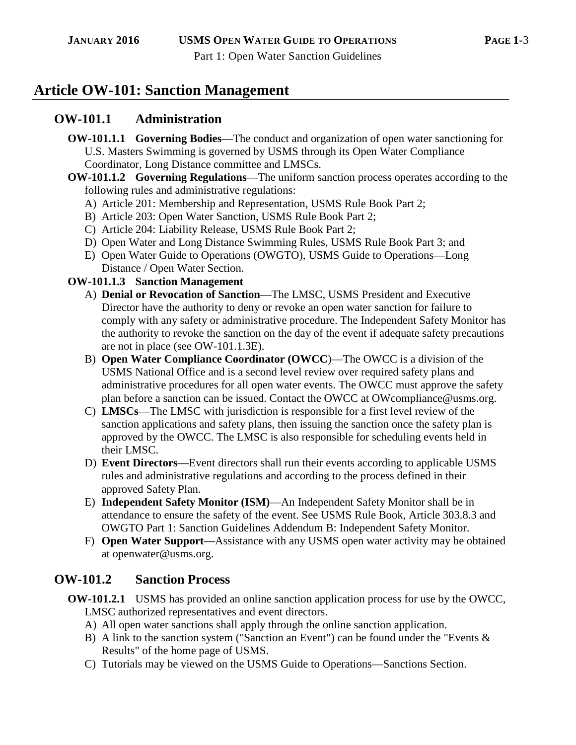# **Article OW-101: Sanction Management**

## **OW-101.1 Administration**

- **OW-101.1.1 Governing Bodies**—The conduct and organization of open water sanctioning for U.S. Masters Swimming is governed by USMS through its Open Water Compliance Coordinator, Long Distance committee and LMSCs.
- **OW-101.1.2 Governing Regulations**—The uniform sanction process operates according to the following rules and administrative regulations:
	- A) Article 201: Membership and Representation, [USMS Rule Book](http://www.usms.org/rules/?utm_campaign=top_nav&utm_medium=for_volunteers) Part 2;
	- B) Article 203: Open Water Sanction, [USMS Rule Book](http://www.usms.org/rules/?utm_campaign=top_nav&utm_medium=for_volunteers) Part 2;
	- C) Article 204: Liability Release, [USMS Rule Book](http://www.usms.org/rules/?utm_campaign=top_nav&utm_medium=for_volunteers) Part 2;
	- D) Open Water and Long Distance Swimming Rules, [USMS Rule Book](http://www.usms.org/rules/?utm_campaign=top_nav&utm_medium=for_volunteers) Part 3; and
	- E) [Open Water Guide to Operations](http://www.usms.org/admin/lmschb/) (OWGTO), USMS Guide to Operations—Long Distance / Open Water Section.

#### **OW-101.1.3 Sanction Management**

- A) **Denial or Revocation of Sanction**—The LMSC, USMS President and Executive Director have the authority to deny or revoke an open water sanction for failure to comply with any safety or administrative procedure. The Independent Safety Monitor has the authority to revoke the sanction on the day of the event if adequate safety precautions are not in place (see OW-101.1.3E).
- B) **Open Water Compliance Coordinator (OWCC**)—The OWCC is a division of the USMS National Office and is a second level review over required safety plans and administrative procedures for all open water events. The OWCC must approve the safety plan before a sanction can be issued. Contact the OWCC at OWcompliance@usms.org.
- C) **LMSCs**—The LMSC with jurisdiction is responsible for a first level review of the sanction applications and safety plans, then issuing the sanction once the safety plan is approved by the OWCC. The LMSC is also responsible for scheduling events held in their LMSC.
- D) **Event Directors**—Event directors shall run their events according to applicable USMS rules and administrative regulations and according to the process defined in their approved Safety Plan.
- E) **Independent Safety Monitor (ISM)**—An Independent Safety Monitor shall be in attendance to ensure the safety of the event. See USMS Rule Book, Article 303.8.3 and OWGTO Part 1: Sanction Guidelines Addendum B: Independent Safety Monitor.
- F) **Open Water Support**—Assistance with any USMS open water activity may be obtained at openwater@usms.org.

# **OW-101.2 Sanction Process**

- **OW-101.2.1** USMS has provided an [online sanction application](http://www.usms.org/comp/sanction/request.php?utm_campaign=top_nav&utm_medium=events_and_results) process for use by the OWCC, LMSC authorized representatives and event directors.
	- A) All open water sanctions shall apply through the [online sanction application.](http://www.usms.org/comp/sanction/request.php?utm_campaign=top_nav&utm_medium=events_and_results)
	- B) A link to the sanction system ("Sanction an Event") can be found under the ["Events &](http://www.usms.org/comp/sanction/request.php?utm_campaign=top_nav&utm_medium=events_and_results)  [Results"](http://www.usms.org/comp/sanction/request.php?utm_campaign=top_nav&utm_medium=events_and_results) of the home page of USMS.
	- C) Tutorials may be viewed on the [USMS Guide to Operations—](http://www.usms.org/admin/lmschb/)Sanctions Section.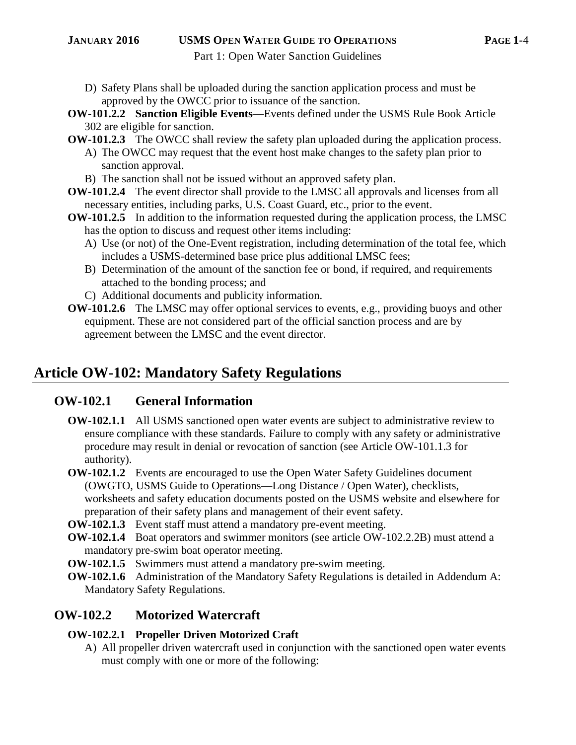#### **JANUARY 2016 USMS OPEN WATER GUIDE TO OPERATIONS PAGE 1-**4

Part 1: Open Water Sanction Guidelines

D) Safety Plans shall be uploaded during the sanction application process and must be approved by the OWCC prior to issuance of the sanction.

**OW-101.2.2 Sanction Eligible Events**—Events defined under the [USMS Rule Book](http://www.usms.org/rules/?utm_campaign=top_nav&utm_medium=for_volunteers) Article 302 are eligible for sanction.

- **OW-101.2.3** The OWCC shall review the safety plan uploaded during the application process.
	- A) The OWCC may request that the event host make changes to the safety plan prior to sanction approval.
	- B) The sanction shall not be issued without an approved safety plan.
- **OW-101.2.4** The event director shall provide to the LMSC all approvals and licenses from all necessary entities, including parks, U.S. Coast Guard, etc., prior to the event.
- **OW-101.2.5** In addition to the information requested during the application process, the LMSC has the option to discuss and request other items including:
	- A) Use (or not) of the One-Event registration, including determination of the total fee, which includes a USMS-determined base price plus additional LMSC fees;
	- B) Determination of the amount of the sanction fee or bond, if required, and requirements attached to the bonding process; and
	- C) Additional documents and publicity information.
- **OW-101.2.6** The LMSC may offer optional services to events, e.g., providing buoys and other equipment. These are not considered part of the official sanction process and are by agreement between the LMSC and the event director.

# **Article OW-102: Mandatory Safety Regulations**

## **OW-102.1 General Information**

- **OW-102.1.1** All USMS sanctioned open water events are subject to administrative review to ensure compliance with these standards. Failure to comply with any safety or administrative procedure may result in denial or revocation of sanction (see Article OW-101.1.3 for authority).
- **OW-102.1.2** Events are encouraged to use the [Open Water Safety Guidelines](http://www.usms.org/admin/lmschb/) document (OWGTO, USMS Guide to Operations—Long Distance / Open Water), checklists, worksheets and safety education documents posted on the USMS website and elsewhere for preparation of their safety plans and management of their event safety.
- **OW-102.1.3** Event staff must attend a mandatory pre-event meeting.
- **OW-102.1.4** Boat operators and swimmer monitors (see article OW-102.2.2B) must attend a mandatory pre-swim boat operator meeting.
- **OW-102.1.5** Swimmers must attend a mandatory pre-swim meeting.
- **OW-102.1.6** Administration of the Mandatory Safety Regulations is detailed in Addendum A: Mandatory Safety Regulations.

# **OW-102.2 Motorized Watercraft**

## **OW-102.2.1 Propeller Driven Motorized Craft**

A) All propeller driven watercraft used in conjunction with the sanctioned open water events must comply with one or more of the following: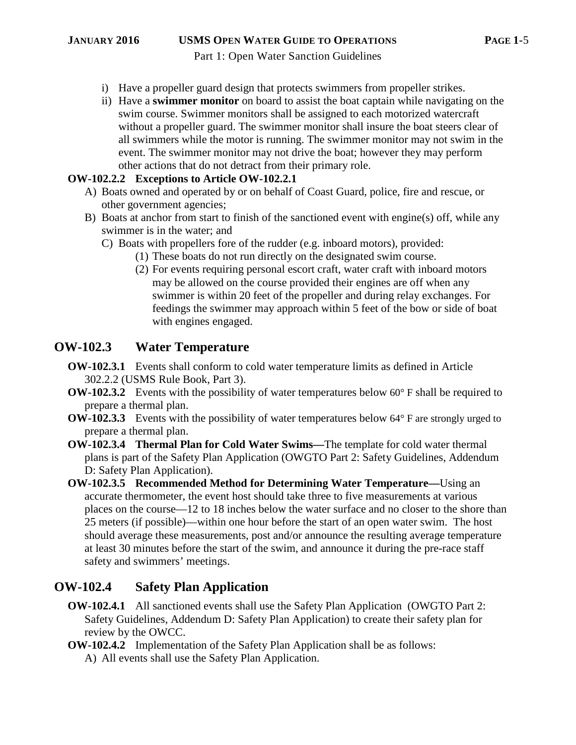- i) Have a propeller guard design that protects swimmers from propeller strikes.
- ii) Have a **swimmer monitor** on board to assist the boat captain while navigating on the swim course. Swimmer monitors shall be assigned to each motorized watercraft without a propeller guard. The swimmer monitor shall insure the boat steers clear of all swimmers while the motor is running. The swimmer monitor may not swim in the event. The swimmer monitor may not drive the boat; however they may perform other actions that do not detract from their primary role.

#### **OW-102.2.2 Exceptions to Article OW-102.2.1**

- A) Boats owned and operated by or on behalf of Coast Guard, police, fire and rescue, or other government agencies;
- B) Boats at anchor from start to finish of the sanctioned event with engine(s) off, while any swimmer is in the water; and
	- C) Boats with propellers fore of the rudder (e.g. inboard motors), provided:
		- (1) These boats do not run directly on the designated swim course.
		- (2) For events requiring personal escort craft, water craft with inboard motors may be allowed on the course provided their engines are off when any swimmer is within 20 feet of the propeller and during relay exchanges. For feedings the swimmer may approach within 5 feet of the bow or side of boat with engines engaged.

#### **OW-102.3 Water Temperature**

- **OW-102.3.1** Events shall conform to cold water temperature limits as defined in Article 302.2.2 (USMS Rule Book, Part 3).
- **OW-102.3.2** Events with the possibility of water temperatures below 60° F shall be required to prepare a thermal plan.
- **OW-102.3.3** Events with the possibility of water temperatures below 64° F are strongly urged to prepare a thermal plan.
- **OW-102.3.4 Thermal Plan for Cold Water Swims—**The template for cold water thermal plans is part of the Safety Plan Application (OWGTO Part 2: Safety Guidelines, Addendum D: Safety Plan Application).
- **OW-102.3.5 Recommended Method for Determining Water Temperature—**Using an accurate thermometer, the event host should take three to five measurements at various places on the course—12 to 18 inches below the water surface and no closer to the shore than 25 meters (if possible)—within one hour before the start of an open water swim. The host should average these measurements, post and/or announce the resulting average temperature at least 30 minutes before the start of the swim, and announce it during the pre-race staff safety and swimmers' meetings.

## **OW-102.4 Safety Plan Application**

- **OW-102.4.1** All sanctioned events shall use the Safety Plan Application (OWGTO Part 2: Safety Guidelines, Addendum D: Safety Plan Application) to create their safety plan for review by the OWCC.
- **OW-102.4.2** Implementation of the Safety Plan Application shall be as follows:
	- A) All events shall use the Safety Plan Application.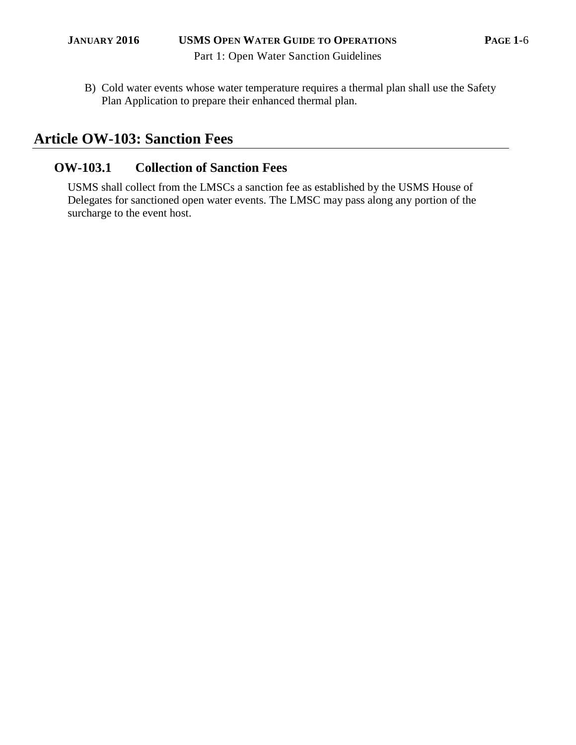B) Cold water events whose water temperature requires a thermal plan shall use the Safety Plan Application to prepare their enhanced thermal plan.

# **Article OW-103: Sanction Fees**

# **OW-103.1 Collection of Sanction Fees**

USMS shall collect from the LMSCs a sanction fee as established by the USMS House of Delegates for sanctioned open water events. The LMSC may pass along any portion of the surcharge to the event host.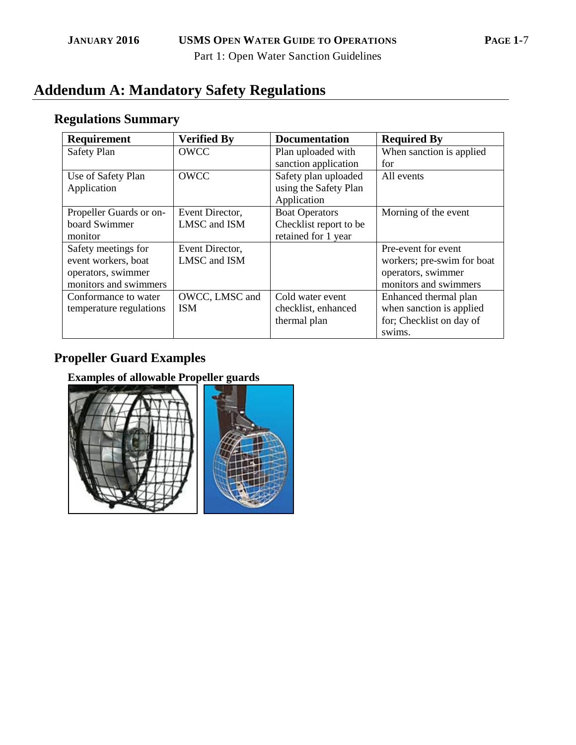# **Addendum A: Mandatory Safety Regulations**

# **Regulations Summary**

| Requirement             | <b>Verified By</b> | <b>Documentation</b>   | <b>Required By</b>         |
|-------------------------|--------------------|------------------------|----------------------------|
| Safety Plan             | <b>OWCC</b>        | Plan uploaded with     | When sanction is applied   |
|                         |                    | sanction application   | for                        |
| Use of Safety Plan      | <b>OWCC</b>        | Safety plan uploaded   | All events                 |
| Application             |                    | using the Safety Plan  |                            |
|                         |                    | Application            |                            |
| Propeller Guards or on- | Event Director,    | <b>Boat Operators</b>  | Morning of the event       |
| board Swimmer           | LMSC and ISM       | Checklist report to be |                            |
| monitor                 |                    | retained for 1 year    |                            |
| Safety meetings for     | Event Director,    |                        | Pre-event for event        |
| event workers, boat     | LMSC and ISM       |                        | workers; pre-swim for boat |
| operators, swimmer      |                    |                        | operators, swimmer         |
| monitors and swimmers   |                    |                        | monitors and swimmers      |
| Conformance to water    | OWCC, LMSC and     | Cold water event       | Enhanced thermal plan      |
| temperature regulations | <b>ISM</b>         | checklist, enhanced    | when sanction is applied   |
|                         |                    | thermal plan           | for; Checklist on day of   |
|                         |                    |                        | swims.                     |

# **Propeller Guard Examples**

**Examples of allowable Propeller guards** 

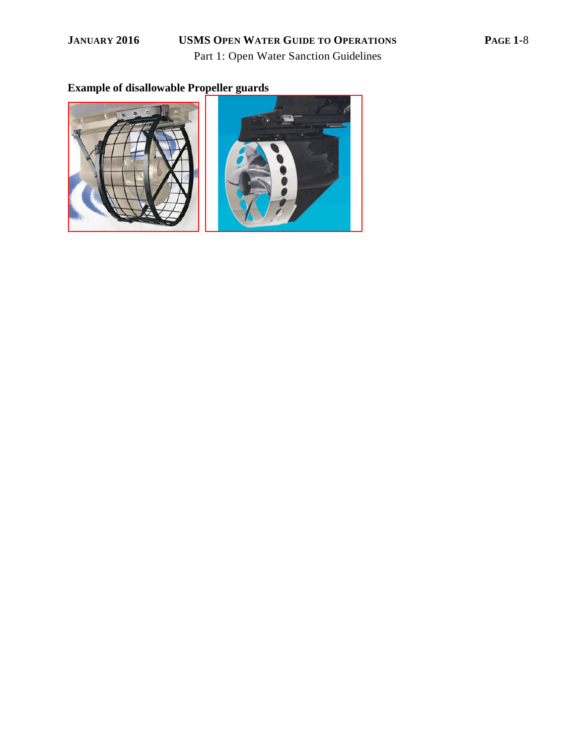### **JANUARY 2016 USMS OPEN WATER GUIDE TO OPERATIONS PAGE 1-**8

Part 1: Open Water Sanction Guidelines

# **Example of disallowable Propeller guards**